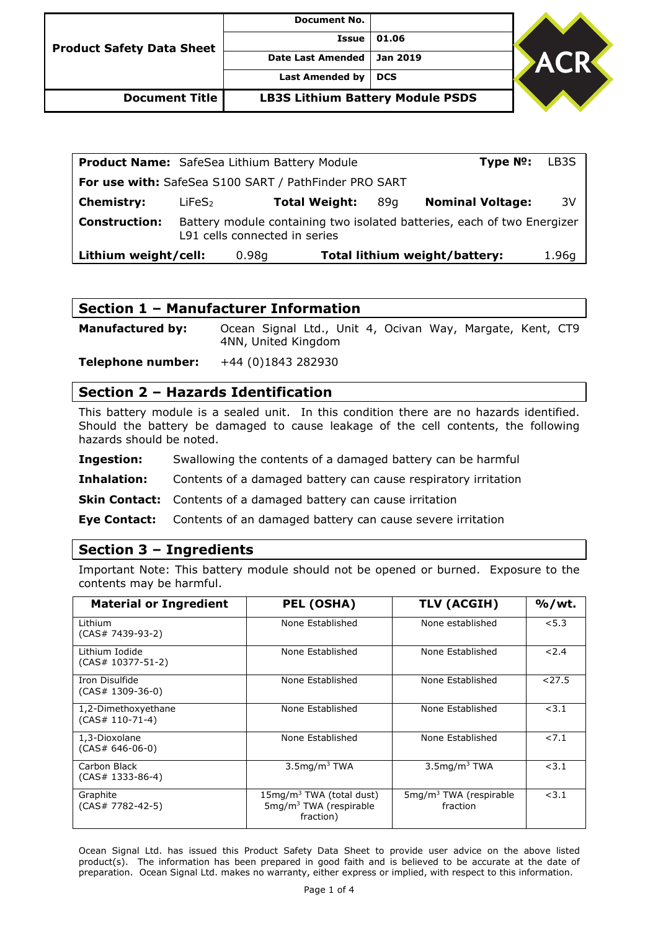| <b>Product Safety Data Sheet</b> | <b>Document No.</b>                     |                 |            |  |
|----------------------------------|-----------------------------------------|-----------------|------------|--|
|                                  | Issue                                   | 01.06           |            |  |
|                                  | <b>Date Last Amended</b>                | <b>Jan 2019</b> | <b>ACR</b> |  |
|                                  | Last Amended by                         | <b>DCS</b>      |            |  |
| <b>Document Title</b>            | <b>LB3S Lithium Battery Module PSDS</b> |                 |            |  |

| <b>Product Name:</b> SafeSea Lithium Battery Module   |                               |       |                      |     | $Type No$ :                                                             | LB3S  |
|-------------------------------------------------------|-------------------------------|-------|----------------------|-----|-------------------------------------------------------------------------|-------|
| For use with: SafeSea S100 SART / PathFinder PRO SART |                               |       |                      |     |                                                                         |       |
| <b>Chemistry:</b>                                     | LiFeS <sub>2</sub>            |       | <b>Total Weight:</b> | 89a | <b>Nominal Voltage:</b>                                                 | 3V    |
| <b>Construction:</b>                                  | L91 cells connected in series |       |                      |     | Battery module containing two isolated batteries, each of two Energizer |       |
| Lithium weight/cell:                                  |                               | 0.98q |                      |     | Total lithium weight/battery:                                           | 1.96g |

|  | Section 1 - Manufacturer Information |  |
|--|--------------------------------------|--|
|--|--------------------------------------|--|

**Manufactured by:** Ocean Signal Ltd., Unit 4, Ocivan Way, Margate, Kent, CT9 4NN, United Kingdom

**Telephone number:** +44 (0)1843 282930

### **Section 2 – Hazards Identification**

This battery module is a sealed unit. In this condition there are no hazards identified. Should the battery be damaged to cause leakage of the cell contents, the following hazards should be noted.

**Ingestion:** Swallowing the contents of a damaged battery can be harmful

**Inhalation:** Contents of a damaged battery can cause respiratory irritation

**Skin Contact:** Contents of a damaged battery can cause irritation

**Eye Contact:** Contents of an damaged battery can cause severe irritation

#### **Section 3 – Ingredients**

Important Note: This battery module should not be opened or burned. Exposure to the contents may be harmful.

| <b>Material or Ingredient</b>             | <b>PEL (OSHA)</b>                                                             | TLV (ACGIH)                          | $%$ /wt. |
|-------------------------------------------|-------------------------------------------------------------------------------|--------------------------------------|----------|
| Lithium<br>(CAS# 7439-93-2)               | None Established                                                              | None established                     | < 5.3    |
| Lithium Iodide<br>$(CAS# 10377 - 51 - 2)$ | None Established                                                              | None Established                     | 2.4      |
| Iron Disulfide<br>$(CAS# 1309-36-0)$      | None Established                                                              | None Established                     | < 27.5   |
| 1,2-Dimethoxyethane<br>$(CAS# 110-71-4)$  | None Established                                                              | None Established                     | < 3.1    |
| 1,3-Dioxolane<br>$(CAS# 646-06-0)$        | None Established                                                              | None Established                     | 27.1     |
| Carbon Black<br>$(CAS# 1333-86-4)$        | $3.5$ mg/m $3$ TWA                                                            | $3.5$ mg/m $3$ TWA                   | < 3.1    |
| Graphite<br>(CAS# 7782-42-5)              | $15mg/m3$ TWA (total dust)<br>5mg/m <sup>3</sup> TWA (respirable<br>fraction) | $5mg/m3$ TWA (respirable<br>fraction | < 3.1    |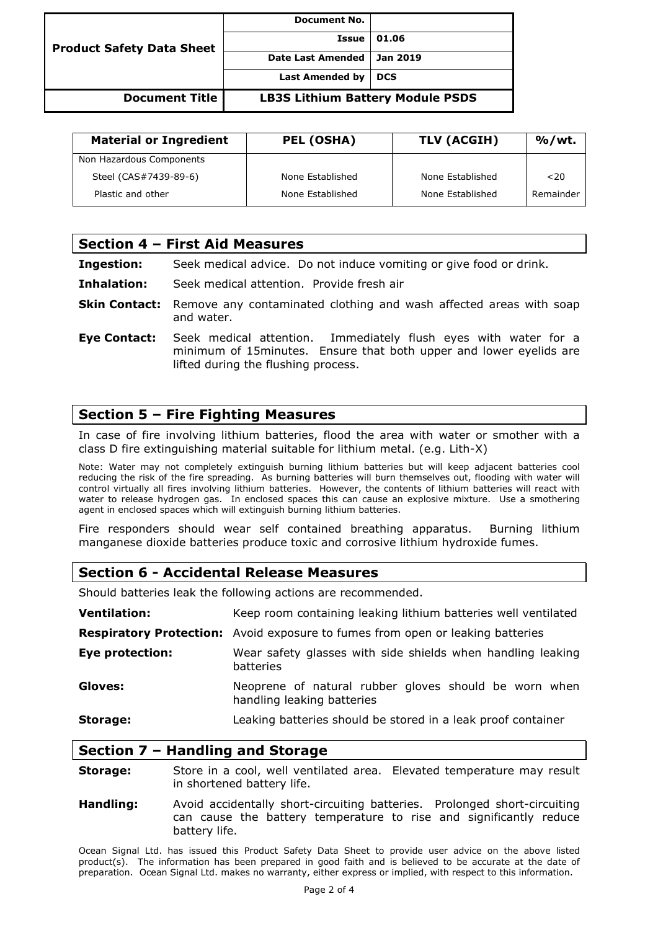| <b>Product Safety Data Sheet</b> | Document No.                            |            |
|----------------------------------|-----------------------------------------|------------|
|                                  | Issue                                   | 01.06      |
|                                  | <b>Date Last Amended</b>                | Jan 2019   |
|                                  | <b>Last Amended by</b>                  | <b>DCS</b> |
| <b>Document Title</b>            | <b>LB3S Lithium Battery Module PSDS</b> |            |

| <b>Material or Ingredient</b> | PEL (OSHA)       | TLV (ACGIH)      | $%$ /wt.  |
|-------------------------------|------------------|------------------|-----------|
| Non Hazardous Components      |                  |                  |           |
| Steel (CAS#7439-89-6)         | None Established | None Established | 20        |
| Plastic and other             | None Established | None Established | Remainder |

|                     | Section 4 - First Aid Measures                                                                                                                                                |  |  |
|---------------------|-------------------------------------------------------------------------------------------------------------------------------------------------------------------------------|--|--|
| <b>Ingestion:</b>   | Seek medical advice. Do not induce vomiting or give food or drink.                                                                                                            |  |  |
| Inhalation:         | Seek medical attention. Provide fresh air                                                                                                                                     |  |  |
|                     | <b>Skin Contact:</b> Remove any contaminated clothing and wash affected areas with soap<br>and water.                                                                         |  |  |
| <b>Eye Contact:</b> | Seek medical attention. Immediately flush eyes with water for a<br>minimum of 15 minutes. Ensure that both upper and lower eyelids are<br>lifted during the flushing process. |  |  |

### **Section 5 – Fire Fighting Measures**

In case of fire involving lithium batteries, flood the area with water or smother with a class D fire extinguishing material suitable for lithium metal. (e.g. Lith-X)

Note: Water may not completely extinguish burning lithium batteries but will keep adjacent batteries cool reducing the risk of the fire spreading. As burning batteries will burn themselves out, flooding with water will control virtually all fires involving lithium batteries. However, the contents of lithium batteries will react with water to release hydrogen gas. In enclosed spaces this can cause an explosive mixture. Use a smothering agent in enclosed spaces which will extinguish burning lithium batteries.

Fire responders should wear self contained breathing apparatus. Burning lithium manganese dioxide batteries produce toxic and corrosive lithium hydroxide fumes.

#### **Section 6 - Accidental Release Measures**

Should batteries leak the following actions are recommended.

| <b>Ventilation:</b> | Keep room containing leaking lithium batteries well ventilated                        |  |
|---------------------|---------------------------------------------------------------------------------------|--|
|                     | <b>Respiratory Protection:</b> Avoid exposure to fumes from open or leaking batteries |  |
| Eye protection:     | Wear safety glasses with side shields when handling leaking<br>batteries              |  |
| Gloves:             | Neoprene of natural rubber gloves should be worn when<br>handling leaking batteries   |  |
| Storage:            | Leaking batteries should be stored in a leak proof container                          |  |

#### **Section 7 – Handling and Storage**

- **Storage:** Store in a cool, well ventilated area. Elevated temperature may result in shortened battery life.
- **Handling:** Avoid accidentally short-circuiting batteries. Prolonged short-circuiting can cause the battery temperature to rise and significantly reduce battery life.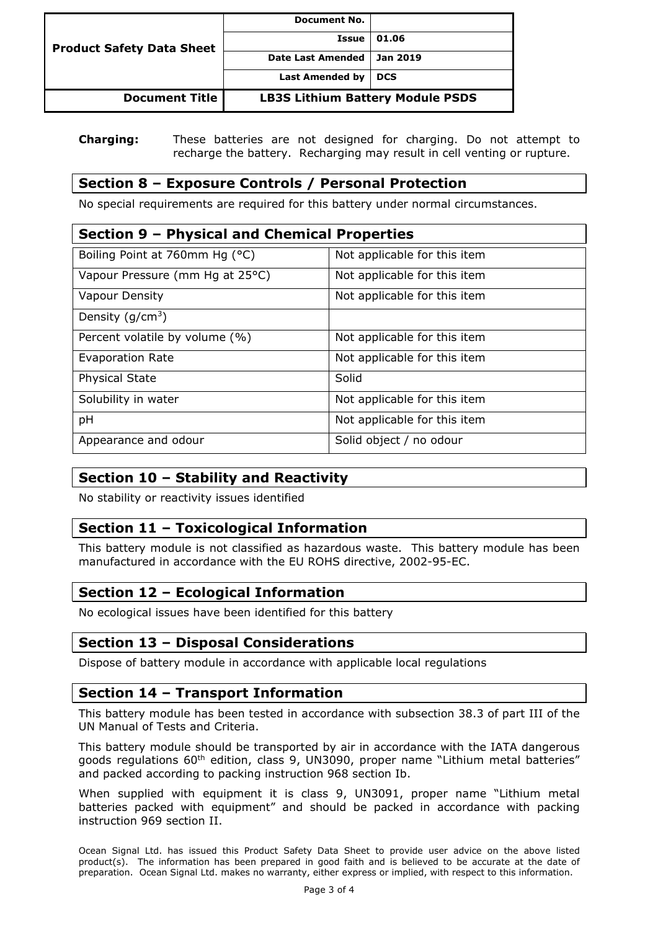| <b>Product Safety Data Sheet</b> | <b>Document No.</b>                     |            |
|----------------------------------|-----------------------------------------|------------|
|                                  | <b>Issue</b>                            | 01.06      |
|                                  | <b>Date Last Amended</b>                | Jan 2019   |
|                                  | <b>Last Amended by</b>                  | <b>DCS</b> |
| <b>Document Title</b>            | <b>LB3S Lithium Battery Module PSDS</b> |            |

#### **Charging:** These batteries are not designed for charging. Do not attempt to recharge the battery. Recharging may result in cell venting or rupture.

## **Section 8 – Exposure Controls / Personal Protection**

No special requirements are required for this battery under normal circumstances.

| Section 9 - Physical and Chemical Properties |                              |  |  |
|----------------------------------------------|------------------------------|--|--|
| Boiling Point at 760mm Hg (°C)               | Not applicable for this item |  |  |
| Vapour Pressure (mm Hg at 25°C)              | Not applicable for this item |  |  |
| <b>Vapour Density</b>                        | Not applicable for this item |  |  |
| Density $(g/cm3)$                            |                              |  |  |
| Percent volatile by volume (%)               | Not applicable for this item |  |  |
| Evaporation Rate                             | Not applicable for this item |  |  |
| <b>Physical State</b>                        | Solid                        |  |  |
| Solubility in water                          | Not applicable for this item |  |  |
| pH                                           | Not applicable for this item |  |  |
| Appearance and odour                         | Solid object / no odour      |  |  |

## **Section 10 – Stability and Reactivity**

No stability or reactivity issues identified

# **Section 11 – Toxicological Information**

This battery module is not classified as hazardous waste. This battery module has been manufactured in accordance with the EU ROHS directive, 2002-95-EC.

## **Section 12 – Ecological Information**

No ecological issues have been identified for this battery

## **Section 13 – Disposal Considerations**

Dispose of battery module in accordance with applicable local regulations

#### **Section 14 – Transport Information**

This battery module has been tested in accordance with subsection 38.3 of part III of the UN Manual of Tests and Criteria.

This battery module should be transported by air in accordance with the IATA dangerous goods regulations 60<sup>th</sup> edition, class 9, UN3090, proper name "Lithium metal batteries" and packed according to packing instruction 968 section Ib.

When supplied with equipment it is class 9, UN3091, proper name "Lithium metal batteries packed with equipment" and should be packed in accordance with packing instruction 969 section II.